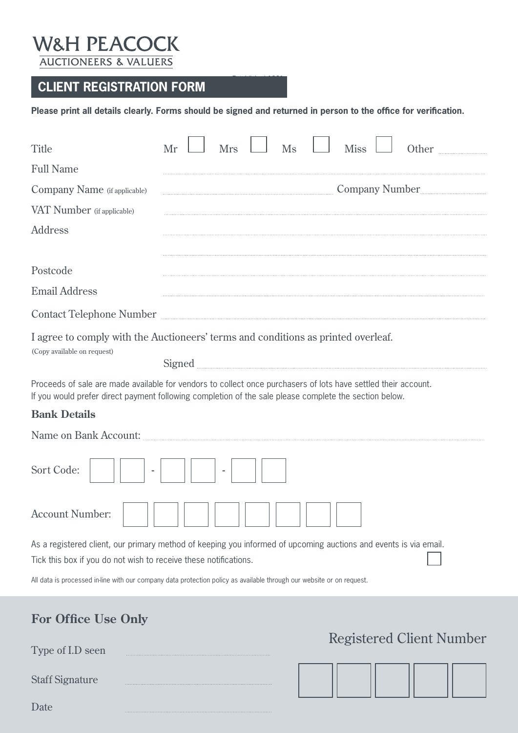## **W&H PEACOCK AUCTIONEERS & VALUERS**

Staff Signature

 $\ddot{\phantom{0}}$ 

Date

## **CLIENT REGISTRATION FORM**

**Please print all details clearly. Forms should be signed and returned in person to the office for verification.**

| Title                                                            | Ms<br><b>Miss</b><br><b>Mrs</b><br>Other<br>Mr                                                                                                                                                                           |
|------------------------------------------------------------------|--------------------------------------------------------------------------------------------------------------------------------------------------------------------------------------------------------------------------|
| <b>Full Name</b>                                                 |                                                                                                                                                                                                                          |
| Company Name (if applicable)                                     | Company Number                                                                                                                                                                                                           |
| VAT Number (if applicable)                                       |                                                                                                                                                                                                                          |
| <b>Address</b>                                                   |                                                                                                                                                                                                                          |
| Postcode                                                         |                                                                                                                                                                                                                          |
| <b>Email Address</b>                                             |                                                                                                                                                                                                                          |
|                                                                  | Contact Telephone Number                                                                                                                                                                                                 |
| (Copy available on request)                                      | I agree to comply with the Auctioneers' terms and conditions as printed overleaf.                                                                                                                                        |
|                                                                  | Proceeds of sale are made available for vendors to collect once purchasers of lots have settled their account.<br>If you would prefer direct payment following completion of the sale please complete the section below. |
| <b>Bank Details</b>                                              |                                                                                                                                                                                                                          |
|                                                                  |                                                                                                                                                                                                                          |
| Sort Code:                                                       |                                                                                                                                                                                                                          |
| <b>Account Number:</b>                                           |                                                                                                                                                                                                                          |
| Tick this box if you do not wish to receive these notifications. | As a registered client, our primary method of keeping you informed of upcoming auctions and events is via email.                                                                                                         |
|                                                                  | All data is processed in-line with our company data protection policy as available through our website or on request.                                                                                                    |
| <b>For Office Use Only</b>                                       |                                                                                                                                                                                                                          |
| Type of I.D seen                                                 | <b>Registered Client Number</b>                                                                                                                                                                                          |